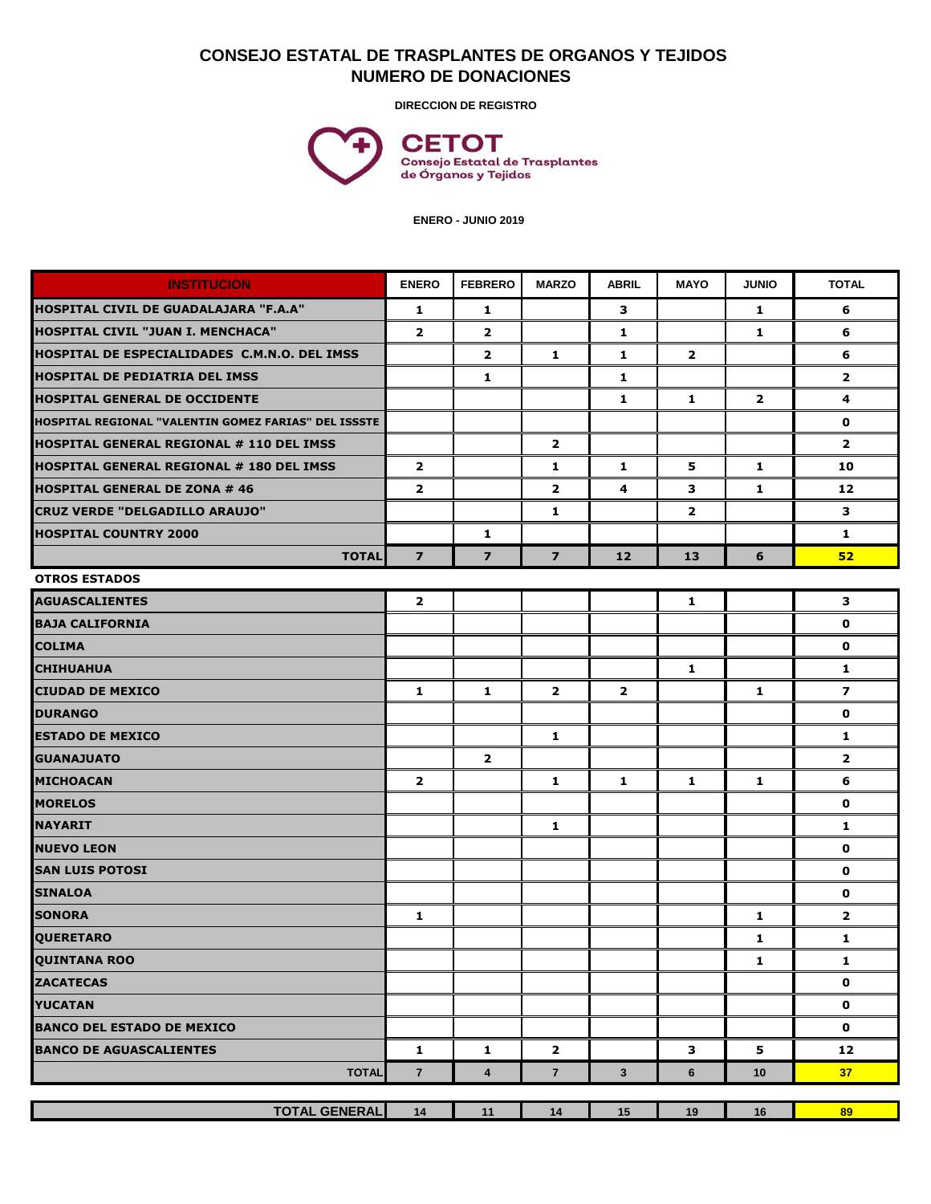## **CONSEJO ESTATAL DE TRASPLANTES DE ORGANOS Y TEJIDOS NUMERO DE DONACIONES**

**DIRECCION DE REGISTRO**



 **ENERO - JUNIO 2019**

| <b>INSTITUCION</b>                                   | <b>ENERO</b>   | <b>FEBRERO</b>          | <b>MARZO</b>            | <b>ABRIL</b> | <b>MAYO</b>    | <b>JUNIO</b>   | <b>TOTAL</b>            |
|------------------------------------------------------|----------------|-------------------------|-------------------------|--------------|----------------|----------------|-------------------------|
| HOSPITAL CIVIL DE GUADALAJARA "F.A.A"                | $\mathbf{1}$   | 1                       |                         | 3            |                | $\mathbf{1}$   | 6                       |
| HOSPITAL CIVIL "JUAN I. MENCHACA"                    | $\overline{2}$ | $\overline{2}$          |                         | 1            |                | 1              | 6                       |
| HOSPITAL DE ESPECIALIDADES C.M.N.O. DEL IMSS         |                | $\overline{2}$          | $\mathbf{1}$            | $\mathbf{1}$ | $\mathbf{2}$   |                | 6                       |
| <b>HOSPITAL DE PEDIATRIA DEL IMSS</b>                |                | 1                       |                         | $\mathbf{1}$ |                |                | $\mathbf{2}$            |
| <b>HOSPITAL GENERAL DE OCCIDENTE</b>                 |                |                         |                         | 1            | $\mathbf{1}$   | $\overline{2}$ | 4                       |
| HOSPITAL REGIONAL "VALENTIN GOMEZ FARIAS" DEL ISSSTE |                |                         |                         |              |                |                | 0                       |
| IHOSPITAL GENERAL REGIONAL # 110 DEL IMSS            |                |                         | $\mathbf{2}$            |              |                |                | $\overline{2}$          |
| <b>HOSPITAL GENERAL REGIONAL # 180 DEL IMSS</b>      | $\overline{2}$ |                         | 1                       | $\mathbf{1}$ | 5              | $\mathbf{1}$   | 10                      |
| <b>HOSPITAL GENERAL DE ZONA # 46</b>                 | $\overline{2}$ |                         | $\overline{\mathbf{2}}$ | 4            | 3              | 1              | 12                      |
| CRUZ VERDE "DELGADILLO ARAUJO"                       |                |                         | $\mathbf{1}$            |              | $\overline{2}$ |                | 3                       |
| <b>HOSPITAL COUNTRY 2000</b>                         |                | 1                       |                         |              |                |                | 1                       |
| <b>TOTAL</b>                                         | $\overline{7}$ | $\overline{7}$          | $\overline{\mathbf{z}}$ | 12           | 13             | 6              | 52                      |
| <b>OTROS ESTADOS</b>                                 |                |                         |                         |              |                |                |                         |
| <b>AGUASCALIENTES</b>                                | $\overline{2}$ |                         |                         |              | $\mathbf{1}$   |                | 3                       |
| <b>BAJA CALIFORNIA</b>                               |                |                         |                         |              |                |                | $\mathbf 0$             |
| <b>COLIMA</b>                                        |                |                         |                         |              |                |                | $\mathbf{o}$            |
| <b>CHIHUAHUA</b>                                     |                |                         |                         |              | $\mathbf{1}$   |                | $\mathbf{1}$            |
| <b>CIUDAD DE MEXICO</b>                              | 1              | 1                       | $\mathbf{2}$            | $\mathbf{2}$ |                | 1              | $\overline{\mathbf{z}}$ |
| <b>DURANGO</b>                                       |                |                         |                         |              |                |                | $\mathbf 0$             |
| <b>ESTADO DE MEXICO</b>                              |                |                         | 1                       |              |                |                | 1                       |
| <b>GUANAJUATO</b>                                    |                | $\overline{2}$          |                         |              |                |                | $\overline{2}$          |
| <b>MICHOACAN</b>                                     | $\mathbf{2}$   |                         | $\mathbf{1}$            | 1            | 1              | 1              | 6                       |
| <b>MORELOS</b>                                       |                |                         |                         |              |                |                | $\mathbf 0$             |
| <b>NAYARIT</b>                                       |                |                         | 1                       |              |                |                | 1                       |
| <b>NUEVO LEON</b>                                    |                |                         |                         |              |                |                | $\mathbf{o}$            |
| <b>SAN LUIS POTOSI</b>                               |                |                         |                         |              |                |                | $\mathbf 0$             |
| <b>SINALOA</b>                                       |                |                         |                         |              |                |                | $\mathbf{o}$            |
| <b>SONORA</b>                                        | 1              |                         |                         |              |                | 1              | $\overline{2}$          |
| <b>QUERETARO</b>                                     |                |                         |                         |              |                | 1              | 1                       |
| <b>QUINTANA ROO</b>                                  |                |                         |                         |              |                | $\mathbf{1}$   | 1                       |
| <b>ZACATECAS</b>                                     |                |                         |                         |              |                |                | $\mathbf 0$             |
| <b>YUCATAN</b>                                       |                |                         |                         |              |                |                | 0                       |
| <b>BANCO DEL ESTADO DE MEXICO</b>                    |                |                         |                         |              |                |                | $\mathbf 0$             |
| <b>BANCO DE AGUASCALIENTES</b>                       | 1              | 1                       | $\mathbf{2}$            |              | 3              | 5              | 12                      |
| <b>TOTAL</b>                                         | $\overline{7}$ | $\overline{\mathbf{4}}$ | $\overline{7}$          | 3            | 6              | 10             | 37 <sub>z</sub>         |
|                                                      |                |                         |                         |              |                |                |                         |
| <b>TOTAL GENERAL</b>                                 | 14             | 11                      | 14                      | 15           | 19             | 16             | 89                      |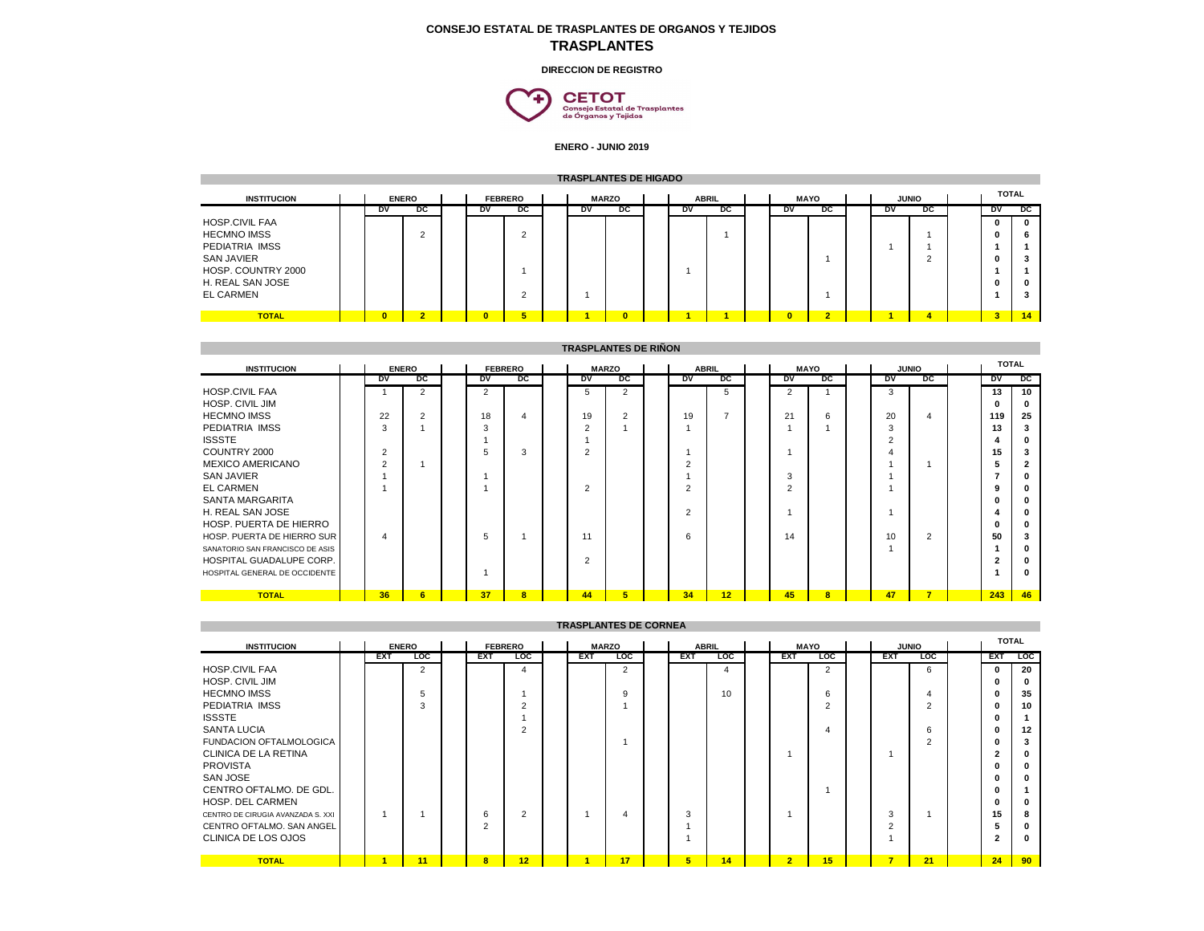## **CONSEJO ESTATAL DE TRASPLANTES DE ORGANOS Y TEJIDOS TRASPLANTES**

## **DIRECCION DE REGISTRO**



**ENERO - JUNIO 2019**

|                       | <b>TRASPLANTES DE HIGADO</b>   |                |           |  |                |          |  |              |                |  |             |    |              |              |              |           |                |    |              |
|-----------------------|--------------------------------|----------------|-----------|--|----------------|----------|--|--------------|----------------|--|-------------|----|--------------|--------------|--------------|-----------|----------------|----|--------------|
| <b>INSTITUCION</b>    | <b>ENERO</b><br><b>FEBRERO</b> |                |           |  | <b>MARZO</b>   |          |  | <b>ABRIL</b> |                |  | <b>MAYO</b> |    | <b>JUNIO</b> |              | <b>TOTAL</b> |           |                |    |              |
|                       |                                | <b>DV</b>      | pc        |  | DV             | pc       |  | <b>DV</b>    | pc             |  | <b>DV</b>   | pc |              | DV           | pc           | <b>DV</b> | pc             | DV | $_{\rm DC}$  |
| <b>HOSP.CIVIL FAA</b> |                                |                |           |  |                |          |  |              |                |  |             |    |              |              |              |           |                | 0  | $\mathbf{0}$ |
| <b>HECMNO IMSS</b>    |                                |                |           |  |                | $\sim$   |  |              |                |  |             |    |              |              |              |           |                | 0  | 6            |
| PEDIATRIA IMSS        |                                |                |           |  |                |          |  |              |                |  |             |    |              |              |              |           |                |    |              |
| <b>SAN JAVIER</b>     |                                |                |           |  |                |          |  |              |                |  |             |    |              |              |              |           |                | n  |              |
| HOSP. COUNTRY 2000    |                                |                |           |  |                |          |  |              |                |  |             |    |              |              |              |           |                |    |              |
| H. REAL SAN JOSE      |                                |                |           |  |                |          |  |              |                |  |             |    |              |              |              |           |                | n. | o            |
| <b>EL CARMEN</b>      |                                |                |           |  |                | $\sim$   |  |              |                |  |             |    |              |              |              |           |                |    |              |
|                       |                                |                | $\bullet$ |  | $\overline{ }$ | <b>F</b> |  |              |                |  |             |    |              | $\mathbf{0}$ | $\bullet$    |           |                | ø. |              |
| <b>TOTAL</b>          |                                | $\overline{0}$ |           |  |                |          |  |              | $\overline{0}$ |  |             |    |              |              |              |           | $\overline{A}$ |    | 14           |

|                                 | <b>TRASPLANTES DE RIÑON</b> |                |                |                              |                |                         |  |                |                |  |                |                |              |                |              |                |                |     |              |
|---------------------------------|-----------------------------|----------------|----------------|------------------------------|----------------|-------------------------|--|----------------|----------------|--|----------------|----------------|--------------|----------------|--------------|----------------|----------------|-----|--------------|
| <b>INSTITUCION</b>              |                             |                | <b>FEBRERO</b> | <b>MARZO</b><br><b>ABRIL</b> |                |                         |  |                |                |  | <b>MAYO</b>    |                | <b>JUNIO</b> |                | <b>TOTAL</b> |                |                |     |              |
|                                 |                             | <b>DV</b>      | pc             |                              | <b>DV</b>      | pc                      |  | <b>DV</b>      | pc             |  | <b>DV</b>      | pc             |              | <b>DV</b>      | pc           | <b>DV</b>      | pc             | DV  | DC           |
| <b>HOSP.CIVIL FAA</b>           |                             |                | 2              |                              | $\overline{2}$ |                         |  | b.             | 2              |  |                | 5              |              | $\overline{2}$ |              | 3              |                | 13  | 10           |
| <b>HOSP. CIVIL JIM</b>          |                             |                |                |                              |                |                         |  |                |                |  |                |                |              |                |              |                |                |     | $\mathbf{0}$ |
| <b>HECMNO IMSS</b>              |                             | 22             | 2              |                              | 18             | 4                       |  | 19             | $\overline{2}$ |  | 19             | $\overline{ }$ |              | 21             | 6            | 20             | 4              | 119 | 25           |
| PEDIATRIA IMSS                  |                             | 3              |                |                              | 3              |                         |  | $\overline{2}$ |                |  |                |                |              |                |              | 3              |                | 13  |              |
| <b>ISSSTE</b>                   |                             |                |                |                              |                |                         |  |                |                |  |                |                |              |                |              | $\overline{2}$ |                |     | $\Omega$     |
| COUNTRY 2000                    |                             | $\overline{2}$ |                |                              | 5.             | 3                       |  | 2              |                |  |                |                |              |                |              |                |                | 15  | 3            |
| <b>MEXICO AMERICANO</b>         |                             | $\overline{2}$ |                |                              |                |                         |  |                |                |  |                |                |              |                |              |                |                |     |              |
| <b>SAN JAVIER</b>               |                             |                |                |                              |                |                         |  |                |                |  |                |                |              | -3             |              |                |                |     |              |
| <b>EL CARMEN</b>                |                             |                |                |                              |                |                         |  | $\overline{2}$ |                |  |                |                |              | $\overline{2}$ |              |                |                |     |              |
| SANTA MARGARITA                 |                             |                |                |                              |                |                         |  |                |                |  |                |                |              |                |              |                |                |     |              |
| H. REAL SAN JOSE                |                             |                |                |                              |                |                         |  |                |                |  | $\overline{2}$ |                |              |                |              |                |                |     |              |
| HOSP. PUERTA DE HIERRO          |                             |                |                |                              |                |                         |  |                |                |  |                |                |              |                |              |                |                |     |              |
| HOSP. PUERTA DE HIERRO SUR      |                             | 4              |                |                              | 5              |                         |  | 11             |                |  | 6              |                |              | 14             |              | 10             | $\mathfrak{p}$ | 50  |              |
| SANATORIO SAN FRANCISCO DE ASIS |                             |                |                |                              |                |                         |  |                |                |  |                |                |              |                |              |                |                |     |              |
| HOSPITAL GUADALUPE CORP.        |                             |                |                |                              |                |                         |  | $\overline{2}$ |                |  |                |                |              |                |              |                |                |     |              |
| HOSPITAL GENERAL DE OCCIDENTE   |                             |                |                |                              |                |                         |  |                |                |  |                |                |              |                |              |                |                |     | n            |
| <b>TOTAL</b>                    |                             | 36             | 6              |                              | 37             | $\overline{\mathbf{8}}$ |  | 44             | 5 <sup>5</sup> |  | 34             | 12             |              | 45             | $\bf{8}$     | 47             | $\overline{7}$ | 243 | 46           |

| TRASPLANTES DE CORNEA |  |  |  |  |  |  |  |
|-----------------------|--|--|--|--|--|--|--|
|-----------------------|--|--|--|--|--|--|--|

| <b>INSTITUCION</b>                |            | <b>ENERO</b>   |                | <b>FEBRERO</b> |            | <b>MARZO</b> |            | <b>ABRIL</b>   |                | <b>MAYO</b>    | <b>JUNIO</b> |            | <b>TOTAL</b> |              |
|-----------------------------------|------------|----------------|----------------|----------------|------------|--------------|------------|----------------|----------------|----------------|--------------|------------|--------------|--------------|
|                                   | <b>EXT</b> | $\overline{c}$ | <b>EXT</b>     | <b>LOC</b>     | <b>EXT</b> | <b>LOC</b>   | <b>EXT</b> | $\overline{c}$ | <b>EXT</b>     | <b>LOC</b>     | <b>EXT</b>   | <b>LOC</b> | <b>EXT</b>   | <b>LOC</b>   |
| <b>HOSP.CIVIL FAA</b>             |            | $\overline{2}$ |                |                |            | 2            |            | 4              |                | $\overline{2}$ |              | 6          | 0            | 20           |
| HOSP. CIVIL JIM                   |            |                |                |                |            |              |            |                |                |                |              |            | ŋ            | $\mathbf{0}$ |
| <b>HECMNO IMSS</b>                |            |                |                |                |            | 9            |            | 10             |                | 6              |              |            | 0            | 35           |
| PEDIATRIA IMSS                    |            |                |                |                |            |              |            |                |                | $\sim$         |              |            | 0            | 10           |
| <b>ISSSTE</b>                     |            |                |                |                |            |              |            |                |                |                |              |            | n            |              |
| <b>SANTA LUCIA</b>                |            |                |                |                |            |              |            |                |                |                |              | 6          | 0            | 12           |
| <b>FUNDACION OFTALMOLOGICA</b>    |            |                |                |                |            |              |            |                |                |                |              | ◠          | n            |              |
| CLINICA DE LA RETINA              |            |                |                |                |            |              |            |                |                |                |              |            | 2            | $\mathbf{0}$ |
| <b>PROVISTA</b>                   |            |                |                |                |            |              |            |                |                |                |              |            | n            | $\mathbf{0}$ |
| <b>SAN JOSE</b>                   |            |                |                |                |            |              |            |                |                |                |              |            | 0            | $\mathbf{0}$ |
| CENTRO OFTALMO. DE GDL.           |            |                |                |                |            |              |            |                |                |                |              |            | ŋ            |              |
| HOSP. DEL CARMEN                  |            |                |                |                |            |              |            |                |                |                |              |            | n            | $\Omega$     |
| CENTRO DE CIRUGIA AVANZADA S. XXI |            |                | 6              | 2              |            | 4            | 3          |                |                |                | 3            |            | 15           | 8            |
| CENTRO OFTALMO. SAN ANGEL         |            |                | $\overline{2}$ |                |            |              |            |                |                |                | ົ            |            | ь            |              |
| CLINICA DE LOS OJOS               |            |                |                |                |            |              |            |                |                |                |              |            | 2            | $\mathbf{0}$ |
|                                   |            |                |                |                |            |              |            |                |                |                |              |            |              |              |
| <b>TOTAL</b>                      |            | 11             | 8              | 12             |            | 17           | 5          | 14             | $\overline{2}$ | 15             | -            | 21         | 24           | 90           |